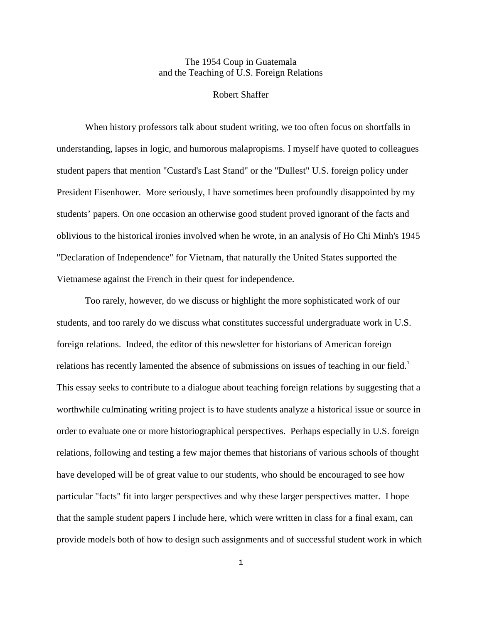## The 1954 Coup in Guatemala and the Teaching of U.S. Foreign Relations

## Robert Shaffer

 When history professors talk about student writing, we too often focus on shortfalls in understanding, lapses in logic, and humorous malapropisms. I myself have quoted to colleagues student papers that mention "Custard's Last Stand" or the "Dullest" U.S. foreign policy under President Eisenhower. More seriously, I have sometimes been profoundly disappointed by my students' papers. On one occasion an otherwise good student proved ignorant of the facts and oblivious to the historical ironies involved when he wrote, in an analysis of Ho Chi Minh's 1945 "Declaration of Independence" for Vietnam, that naturally the United States supported the Vietnamese against the French in their quest for independence.

 Too rarely, however, do we discuss or highlight the more sophisticated work of our students, and too rarely do we discuss what constitutes successful undergraduate work in U.S. foreign relations. Indeed, the editor of this newsletter for historians of American foreign relations has recently lamented the absence of submissions on issues of teaching in our field.<sup>1</sup> This essay seeks to contribute to a dialogue about teaching foreign relations by suggesting that a worthwhile culminating writing project is to have students analyze a historical issue or source in order to evaluate one or more historiographical perspectives. Perhaps especially in U.S. foreign relations, following and testing a few major themes that historians of various schools of thought have developed will be of great value to our students, who should be encouraged to see how particular "facts" fit into larger perspectives and why these larger perspectives matter. I hope that the sample student papers I include here, which were written in class for a final exam, can provide models both of how to design such assignments and of successful student work in which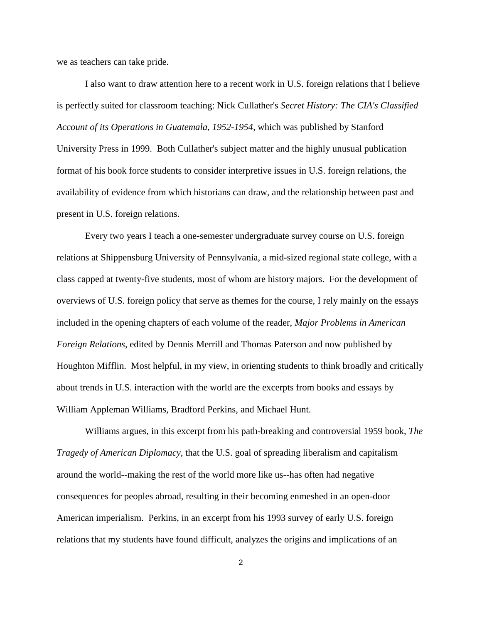we as teachers can take pride.

 I also want to draw attention here to a recent work in U.S. foreign relations that I believe is perfectly suited for classroom teaching: Nick Cullather's *Secret History: The CIA's Classified Account of its Operations in Guatemala, 1952-1954,* which was published by Stanford University Press in 1999. Both Cullather's subject matter and the highly unusual publication format of his book force students to consider interpretive issues in U.S. foreign relations, the availability of evidence from which historians can draw, and the relationship between past and present in U.S. foreign relations.

 Every two years I teach a one-semester undergraduate survey course on U.S. foreign relations at Shippensburg University of Pennsylvania, a mid-sized regional state college, with a class capped at twenty-five students, most of whom are history majors. For the development of overviews of U.S. foreign policy that serve as themes for the course, I rely mainly on the essays included in the opening chapters of each volume of the reader, *Major Problems in American Foreign Relations*, edited by Dennis Merrill and Thomas Paterson and now published by Houghton Mifflin. Most helpful, in my view, in orienting students to think broadly and critically about trends in U.S. interaction with the world are the excerpts from books and essays by William Appleman Williams, Bradford Perkins, and Michael Hunt.

 Williams argues, in this excerpt from his path-breaking and controversial 1959 book, *The Tragedy of American Diplomacy*, that the U.S. goal of spreading liberalism and capitalism around the world--making the rest of the world more like us--has often had negative consequences for peoples abroad, resulting in their becoming enmeshed in an open-door American imperialism. Perkins, in an excerpt from his 1993 survey of early U.S. foreign relations that my students have found difficult, analyzes the origins and implications of an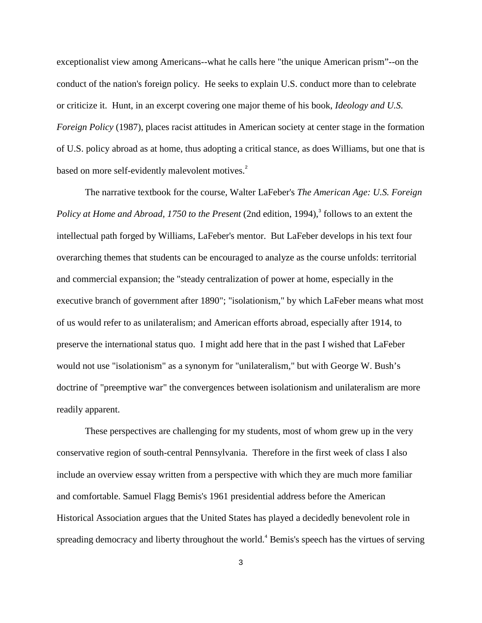exceptionalist view among Americans--what he calls here "the unique American prism"--on the conduct of the nation's foreign policy. He seeks to explain U.S. conduct more than to celebrate or criticize it. Hunt, in an excerpt covering one major theme of his book, *Ideology and U.S. Foreign Policy* (1987), places racist attitudes in American society at center stage in the formation of U.S. policy abroad as at home, thus adopting a critical stance, as does Williams, but one that is based on more self-evidently malevolent motives.<sup>2</sup>

 The narrative textbook for the course, Walter LaFeber's *The American Age: U.S. Foreign*  Policy at Home and Abroad, 1750 to the Present (2nd edition, 1994),<sup>3</sup> follows to an extent the intellectual path forged by Williams, LaFeber's mentor. But LaFeber develops in his text four overarching themes that students can be encouraged to analyze as the course unfolds: territorial and commercial expansion; the "steady centralization of power at home, especially in the executive branch of government after 1890"; "isolationism," by which LaFeber means what most of us would refer to as unilateralism; and American efforts abroad, especially after 1914, to preserve the international status quo. I might add here that in the past I wished that LaFeber would not use "isolationism" as a synonym for "unilateralism," but with George W. Bush's doctrine of "preemptive war" the convergences between isolationism and unilateralism are more readily apparent.

 These perspectives are challenging for my students, most of whom grew up in the very conservative region of south-central Pennsylvania. Therefore in the first week of class I also include an overview essay written from a perspective with which they are much more familiar and comfortable. Samuel Flagg Bemis's 1961 presidential address before the American Historical Association argues that the United States has played a decidedly benevolent role in spreading democracy and liberty throughout the world.<sup>4</sup> Bemis's speech has the virtues of serving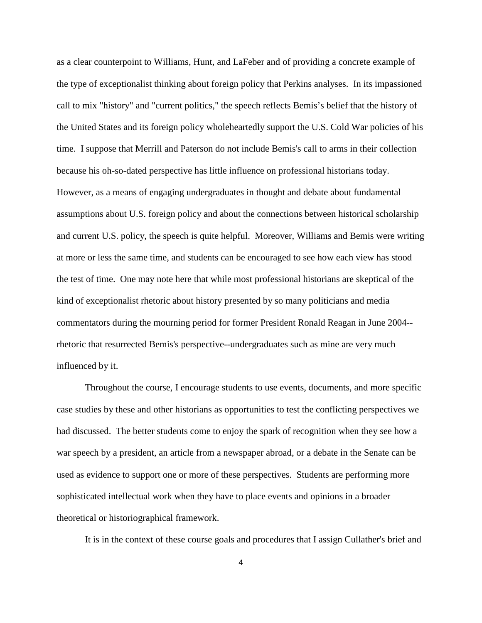as a clear counterpoint to Williams, Hunt, and LaFeber and of providing a concrete example of the type of exceptionalist thinking about foreign policy that Perkins analyses. In its impassioned call to mix "history" and "current politics," the speech reflects Bemis's belief that the history of the United States and its foreign policy wholeheartedly support the U.S. Cold War policies of his time. I suppose that Merrill and Paterson do not include Bemis's call to arms in their collection because his oh-so-dated perspective has little influence on professional historians today. However, as a means of engaging undergraduates in thought and debate about fundamental assumptions about U.S. foreign policy and about the connections between historical scholarship and current U.S. policy, the speech is quite helpful. Moreover, Williams and Bemis were writing at more or less the same time, and students can be encouraged to see how each view has stood the test of time. One may note here that while most professional historians are skeptical of the kind of exceptionalist rhetoric about history presented by so many politicians and media commentators during the mourning period for former President Ronald Reagan in June 2004- rhetoric that resurrected Bemis's perspective--undergraduates such as mine are very much influenced by it.

Throughout the course, I encourage students to use events, documents, and more specific case studies by these and other historians as opportunities to test the conflicting perspectives we had discussed. The better students come to enjoy the spark of recognition when they see how a war speech by a president, an article from a newspaper abroad, or a debate in the Senate can be used as evidence to support one or more of these perspectives. Students are performing more sophisticated intellectual work when they have to place events and opinions in a broader theoretical or historiographical framework.

It is in the context of these course goals and procedures that I assign Cullather's brief and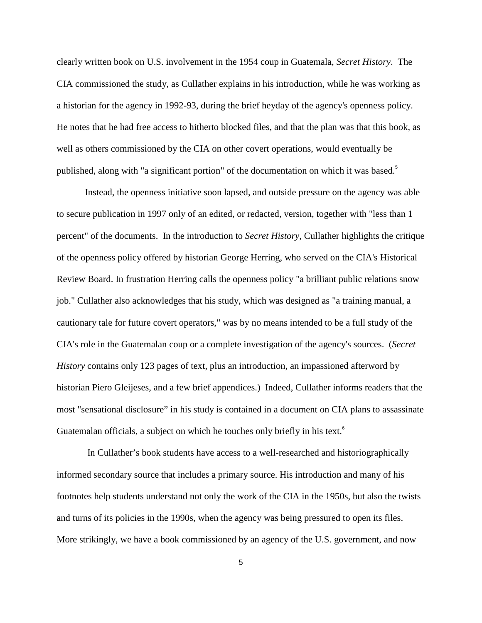clearly written book on U.S. involvement in the 1954 coup in Guatemala, *Secret History*. The CIA commissioned the study, as Cullather explains in his introduction, while he was working as a historian for the agency in 1992-93, during the brief heyday of the agency's openness policy. He notes that he had free access to hitherto blocked files, and that the plan was that this book, as well as others commissioned by the CIA on other covert operations, would eventually be published, along with "a significant portion" of the documentation on which it was based.<sup>5</sup>

 Instead, the openness initiative soon lapsed, and outside pressure on the agency was able to secure publication in 1997 only of an edited, or redacted, version, together with "less than 1 percent" of the documents. In the introduction to *Secret History*, Cullather highlights the critique of the openness policy offered by historian George Herring, who served on the CIA's Historical Review Board. In frustration Herring calls the openness policy "a brilliant public relations snow job." Cullather also acknowledges that his study, which was designed as "a training manual, a cautionary tale for future covert operators," was by no means intended to be a full study of the CIA's role in the Guatemalan coup or a complete investigation of the agency's sources. (*Secret History* contains only 123 pages of text, plus an introduction, an impassioned afterword by historian Piero Gleijeses, and a few brief appendices.) Indeed, Cullather informs readers that the most "sensational disclosure" in his study is contained in a document on CIA plans to assassinate Guatemalan officials, a subject on which he touches only briefly in his text.<sup>6</sup>

 In Cullather's book students have access to a well-researched and historiographically informed secondary source that includes a primary source. His introduction and many of his footnotes help students understand not only the work of the CIA in the 1950s, but also the twists and turns of its policies in the 1990s, when the agency was being pressured to open its files. More strikingly, we have a book commissioned by an agency of the U.S. government, and now

5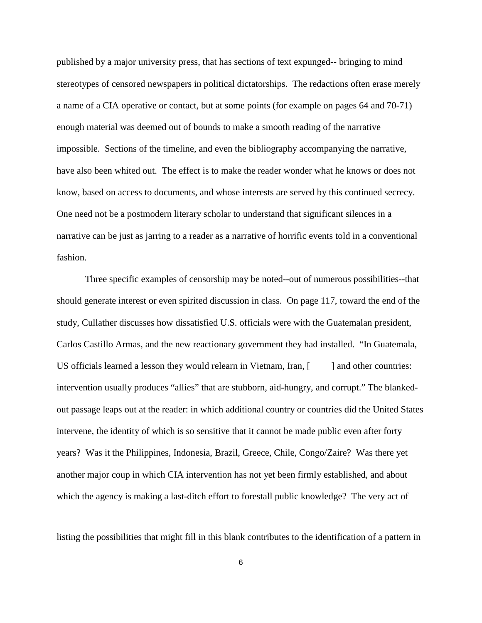published by a major university press, that has sections of text expunged-- bringing to mind stereotypes of censored newspapers in political dictatorships. The redactions often erase merely a name of a CIA operative or contact, but at some points (for example on pages 64 and 70-71) enough material was deemed out of bounds to make a smooth reading of the narrative impossible. Sections of the timeline, and even the bibliography accompanying the narrative, have also been whited out. The effect is to make the reader wonder what he knows or does not know, based on access to documents, and whose interests are served by this continued secrecy. One need not be a postmodern literary scholar to understand that significant silences in a narrative can be just as jarring to a reader as a narrative of horrific events told in a conventional fashion.

 Three specific examples of censorship may be noted--out of numerous possibilities--that should generate interest or even spirited discussion in class. On page 117, toward the end of the study, Cullather discusses how dissatisfied U.S. officials were with the Guatemalan president, Carlos Castillo Armas, and the new reactionary government they had installed. "In Guatemala, US officials learned a lesson they would relearn in Vietnam, Iran, [ ] and other countries: intervention usually produces "allies" that are stubborn, aid-hungry, and corrupt." The blankedout passage leaps out at the reader: in which additional country or countries did the United States intervene, the identity of which is so sensitive that it cannot be made public even after forty years? Was it the Philippines, Indonesia, Brazil, Greece, Chile, Congo/Zaire? Was there yet another major coup in which CIA intervention has not yet been firmly established, and about which the agency is making a last-ditch effort to forestall public knowledge? The very act of

listing the possibilities that might fill in this blank contributes to the identification of a pattern in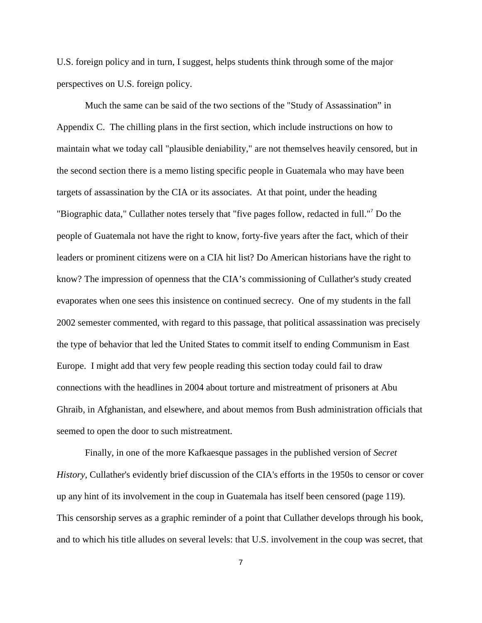U.S. foreign policy and in turn, I suggest, helps students think through some of the major perspectives on U.S. foreign policy.

 Much the same can be said of the two sections of the "Study of Assassination" in Appendix C. The chilling plans in the first section, which include instructions on how to maintain what we today call "plausible deniability," are not themselves heavily censored, but in the second section there is a memo listing specific people in Guatemala who may have been targets of assassination by the CIA or its associates. At that point, under the heading "Biographic data," Cullather notes tersely that "five pages follow, redacted in full."<sup>7</sup> Do the people of Guatemala not have the right to know, forty-five years after the fact, which of their leaders or prominent citizens were on a CIA hit list? Do American historians have the right to know? The impression of openness that the CIA's commissioning of Cullather's study created evaporates when one sees this insistence on continued secrecy. One of my students in the fall 2002 semester commented, with regard to this passage, that political assassination was precisely the type of behavior that led the United States to commit itself to ending Communism in East Europe. I might add that very few people reading this section today could fail to draw connections with the headlines in 2004 about torture and mistreatment of prisoners at Abu Ghraib, in Afghanistan, and elsewhere, and about memos from Bush administration officials that seemed to open the door to such mistreatment.

 Finally, in one of the more Kafkaesque passages in the published version of *Secret History*, Cullather's evidently brief discussion of the CIA's efforts in the 1950s to censor or cover up any hint of its involvement in the coup in Guatemala has itself been censored (page 119). This censorship serves as a graphic reminder of a point that Cullather develops through his book, and to which his title alludes on several levels: that U.S. involvement in the coup was secret, that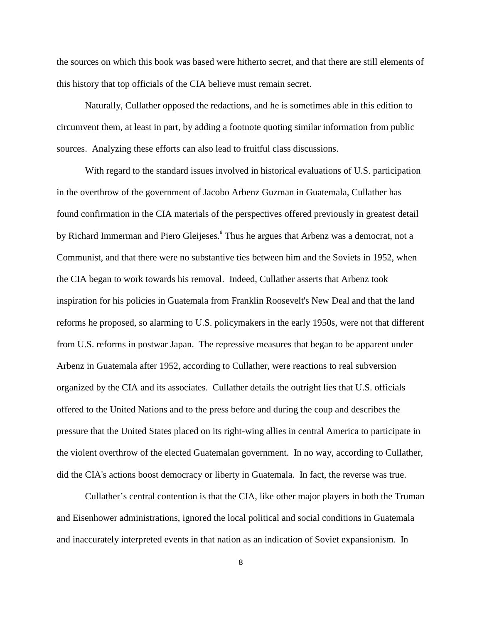the sources on which this book was based were hitherto secret, and that there are still elements of this history that top officials of the CIA believe must remain secret.

 Naturally, Cullather opposed the redactions, and he is sometimes able in this edition to circumvent them, at least in part, by adding a footnote quoting similar information from public sources. Analyzing these efforts can also lead to fruitful class discussions.

 With regard to the standard issues involved in historical evaluations of U.S. participation in the overthrow of the government of Jacobo Arbenz Guzman in Guatemala, Cullather has found confirmation in the CIA materials of the perspectives offered previously in greatest detail by Richard Immerman and Piero Gleijeses.<sup>8</sup> Thus he argues that Arbenz was a democrat, not a Communist, and that there were no substantive ties between him and the Soviets in 1952, when the CIA began to work towards his removal. Indeed, Cullather asserts that Arbenz took inspiration for his policies in Guatemala from Franklin Roosevelt's New Deal and that the land reforms he proposed, so alarming to U.S. policymakers in the early 1950s, were not that different from U.S. reforms in postwar Japan. The repressive measures that began to be apparent under Arbenz in Guatemala after 1952, according to Cullather, were reactions to real subversion organized by the CIA and its associates. Cullather details the outright lies that U.S. officials offered to the United Nations and to the press before and during the coup and describes the pressure that the United States placed on its right-wing allies in central America to participate in the violent overthrow of the elected Guatemalan government. In no way, according to Cullather, did the CIA's actions boost democracy or liberty in Guatemala. In fact, the reverse was true.

 Cullather's central contention is that the CIA, like other major players in both the Truman and Eisenhower administrations, ignored the local political and social conditions in Guatemala and inaccurately interpreted events in that nation as an indication of Soviet expansionism. In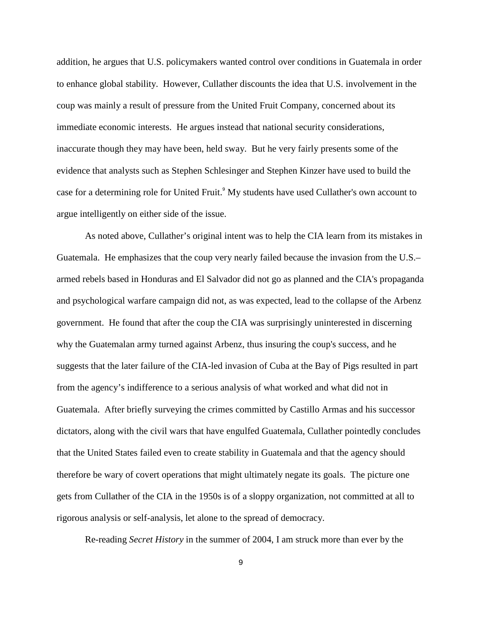addition, he argues that U.S. policymakers wanted control over conditions in Guatemala in order to enhance global stability. However, Cullather discounts the idea that U.S. involvement in the coup was mainly a result of pressure from the United Fruit Company, concerned about its immediate economic interests. He argues instead that national security considerations, inaccurate though they may have been, held sway. But he very fairly presents some of the evidence that analysts such as Stephen Schlesinger and Stephen Kinzer have used to build the case for a determining role for United Fruit.<sup>9</sup> My students have used Cullather's own account to argue intelligently on either side of the issue.

 As noted above, Cullather's original intent was to help the CIA learn from its mistakes in Guatemala. He emphasizes that the coup very nearly failed because the invasion from the U.S.– armed rebels based in Honduras and El Salvador did not go as planned and the CIA's propaganda and psychological warfare campaign did not, as was expected, lead to the collapse of the Arbenz government. He found that after the coup the CIA was surprisingly uninterested in discerning why the Guatemalan army turned against Arbenz, thus insuring the coup's success, and he suggests that the later failure of the CIA-led invasion of Cuba at the Bay of Pigs resulted in part from the agency's indifference to a serious analysis of what worked and what did not in Guatemala. After briefly surveying the crimes committed by Castillo Armas and his successor dictators, along with the civil wars that have engulfed Guatemala, Cullather pointedly concludes that the United States failed even to create stability in Guatemala and that the agency should therefore be wary of covert operations that might ultimately negate its goals. The picture one gets from Cullather of the CIA in the 1950s is of a sloppy organization, not committed at all to rigorous analysis or self-analysis, let alone to the spread of democracy.

Re-reading *Secret History* in the summer of 2004, I am struck more than ever by the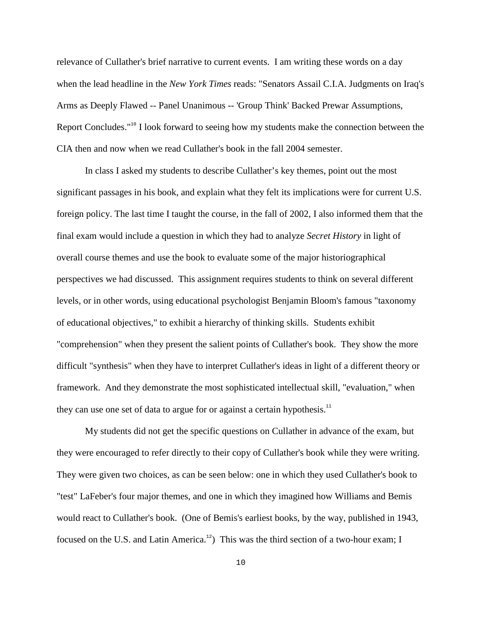relevance of Cullather's brief narrative to current events. I am writing these words on a day when the lead headline in the *New York Times* reads: "Senators Assail C.I.A. Judgments on Iraq's Arms as Deeply Flawed -- Panel Unanimous -- 'Group Think' Backed Prewar Assumptions, Report Concludes."<sup>10</sup> I look forward to seeing how my students make the connection between the CIA then and now when we read Cullather's book in the fall 2004 semester.

 In class I asked my students to describe Cullather's key themes, point out the most significant passages in his book, and explain what they felt its implications were for current U.S. foreign policy. The last time I taught the course, in the fall of 2002, I also informed them that the final exam would include a question in which they had to analyze *Secret History* in light of overall course themes and use the book to evaluate some of the major historiographical perspectives we had discussed. This assignment requires students to think on several different levels, or in other words, using educational psychologist Benjamin Bloom's famous "taxonomy of educational objectives," to exhibit a hierarchy of thinking skills. Students exhibit "comprehension" when they present the salient points of Cullather's book. They show the more difficult "synthesis" when they have to interpret Cullather's ideas in light of a different theory or framework. And they demonstrate the most sophisticated intellectual skill, "evaluation," when they can use one set of data to argue for or against a certain hypothesis. $11$ 

 My students did not get the specific questions on Cullather in advance of the exam, but they were encouraged to refer directly to their copy of Cullather's book while they were writing. They were given two choices, as can be seen below: one in which they used Cullather's book to "test" LaFeber's four major themes, and one in which they imagined how Williams and Bemis would react to Cullather's book. (One of Bemis's earliest books, by the way, published in 1943, focused on the U.S. and Latin America.<sup>12</sup>) This was the third section of a two-hour exam; I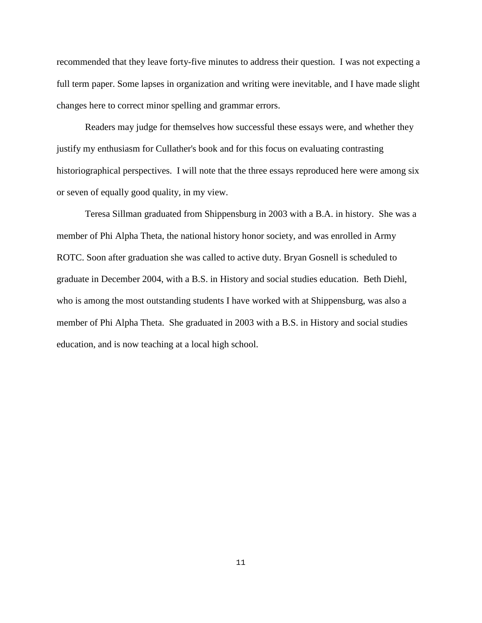recommended that they leave forty-five minutes to address their question. I was not expecting a full term paper. Some lapses in organization and writing were inevitable, and I have made slight changes here to correct minor spelling and grammar errors.

 Readers may judge for themselves how successful these essays were, and whether they justify my enthusiasm for Cullather's book and for this focus on evaluating contrasting historiographical perspectives. I will note that the three essays reproduced here were among six or seven of equally good quality, in my view.

 Teresa Sillman graduated from Shippensburg in 2003 with a B.A. in history. She was a member of Phi Alpha Theta, the national history honor society, and was enrolled in Army ROTC. Soon after graduation she was called to active duty. Bryan Gosnell is scheduled to graduate in December 2004, with a B.S. in History and social studies education. Beth Diehl, who is among the most outstanding students I have worked with at Shippensburg, was also a member of Phi Alpha Theta. She graduated in 2003 with a B.S. in History and social studies education, and is now teaching at a local high school.